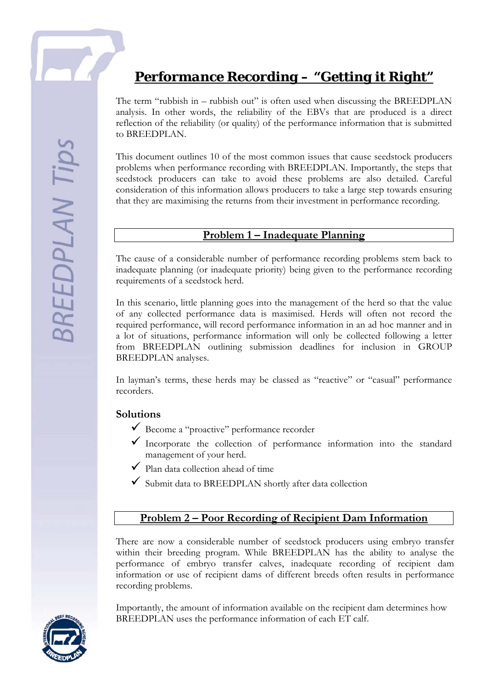# *Performance Recording – "Getting it Right"*

The term "rubbish in – rubbish out" is often used when discussing the BREEDPLAN analysis. In other words, the reliability of the EBVs that are produced is a direct reflection of the reliability (or quality) of the performance information that is submitted to BREEDPLAN.

This document outlines 10 of the most common issues that cause seedstock producers problems when performance recording with BREEDPLAN. Importantly, the steps that seedstock producers can take to avoid these problems are also detailed. Careful consideration of this information allows producers to take a large step towards ensuring that they are maximising the returns from their investment in performance recording.

#### **Problem 1 – Inadequate Planning**

The cause of a considerable number of performance recording problems stem back to inadequate planning (or inadequate priority) being given to the performance recording requirements of a seedstock herd.

In this scenario, little planning goes into the management of the herd so that the value of any collected performance data is maximised. Herds will often not record the required performance, will record performance information in an ad hoc manner and in a lot of situations, performance information will only be collected following a letter from BREEDPLAN outlining submission deadlines for inclusion in GROUP BREEDPLAN analyses.

In layman's terms, these herds may be classed as "reactive" or "casual" performance recorders.

#### **Solutions**

- $\checkmark$  Become a "proactive" performance recorder
- $\checkmark$  Incorporate the collection of performance information into the standard management of your herd.
- $\checkmark$  Plan data collection ahead of time
- $\checkmark$  Submit data to BREEDPLAN shortly after data collection

#### **Problem 2 – Poor Recording of Recipient Dam Information**

There are now a considerable number of seedstock producers using embryo transfer within their breeding program. While BREEDPLAN has the ability to analyse the performance of embryo transfer calves, inadequate recording of recipient dam information or use of recipient dams of different breeds often results in performance recording problems.

Importantly, the amount of information available on the recipient dam determines how BREEDPLAN uses the performance information of each ET calf.

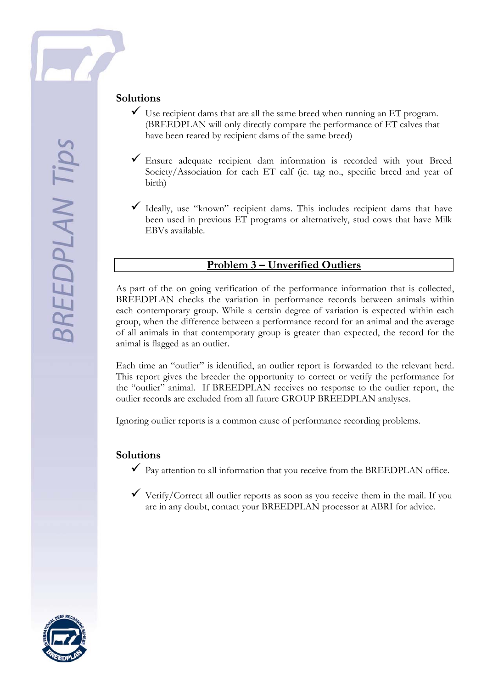## **Solutions**

- $\checkmark$  Use recipient dams that are all the same breed when running an ET program. (BREEDPLAN will only directly compare the performance of ET calves that have been reared by recipient dams of the same breed)
- $\checkmark$  Ensure adequate recipient dam information is recorded with your Breed Society/Association for each ET calf (ie. tag no., specific breed and year of birth)
- $\checkmark$  Ideally, use "known" recipient dams. This includes recipient dams that have been used in previous ET programs or alternatively, stud cows that have Milk EBVs available.

## **Problem 3 – Unverified Outliers**

As part of the on going verification of the performance information that is collected, BREEDPLAN checks the variation in performance records between animals within each contemporary group. While a certain degree of variation is expected within each group, when the difference between a performance record for an animal and the average of all animals in that contemporary group is greater than expected, the record for the animal is flagged as an outlier.

Each time an "outlier" is identified, an outlier report is forwarded to the relevant herd. This report gives the breeder the opportunity to correct or verify the performance for the "outlier" animal. If BREEDPLAN receives no response to the outlier report, the outlier records are excluded from all future GROUP BREEDPLAN analyses.

Ignoring outlier reports is a common cause of performance recording problems.

#### **Solutions**

- $\checkmark$  Pay attention to all information that you receive from the BREEDPLAN office.
- $\checkmark$  Verify/Correct all outlier reports as soon as you receive them in the mail. If you are in any doubt, contact your BREEDPLAN processor at ABRI for advice.

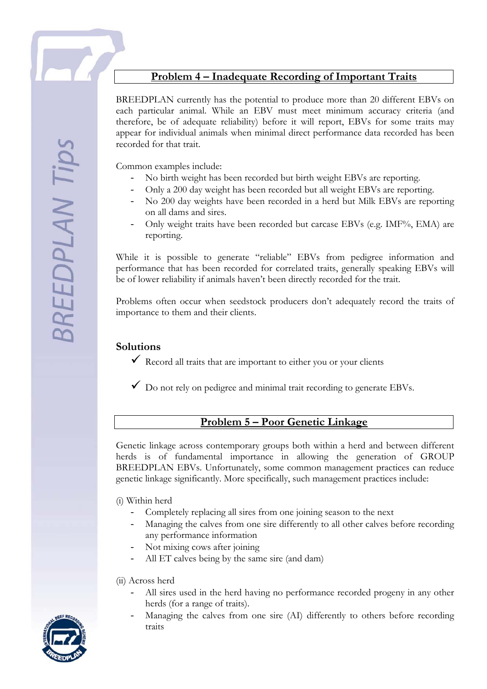## **Problem 4 – Inadequate Recording of Important Traits**

BREEDPLAN currently has the potential to produce more than 20 different EBVs on each particular animal. While an EBV must meet minimum accuracy criteria (and therefore, be of adequate reliability) before it will report, EBVs for some traits may appear for individual animals when minimal direct performance data recorded has been recorded for that trait.

Common examples include:

- No birth weight has been recorded but birth weight EBVs are reporting.
- Only a 200 day weight has been recorded but all weight EBVs are reporting.
- No 200 day weights have been recorded in a herd but Milk EBVs are reporting on all dams and sires.
- Only weight traits have been recorded but carcase EBVs (e.g. IMF%, EMA) are reporting.

While it is possible to generate "reliable" EBVs from pedigree information and performance that has been recorded for correlated traits, generally speaking EBVs will be of lower reliability if animals haven't been directly recorded for the trait.

Problems often occur when seedstock producers don't adequately record the traits of importance to them and their clients.

#### **Solutions**

- $\checkmark$  Record all traits that are important to either you or your clients
- $\checkmark$  Do not rely on pedigree and minimal trait recording to generate EBVs.

## **Problem 5 – Poor Genetic Linkage**

Genetic linkage across contemporary groups both within a herd and between different herds is of fundamental importance in allowing the generation of GROUP BREEDPLAN EBVs. Unfortunately, some common management practices can reduce genetic linkage significantly. More specifically, such management practices include:

#### (i) Within herd

- Completely replacing all sires from one joining season to the next
- Managing the calves from one sire differently to all other calves before recording any performance information
- Not mixing cows after joining
- All ET calves being by the same sire (and dam)

#### (ii) Across herd

- All sires used in the herd having no performance recorded progeny in any other herds (for a range of traits).
- Managing the calves from one sire (AI) differently to others before recording traits

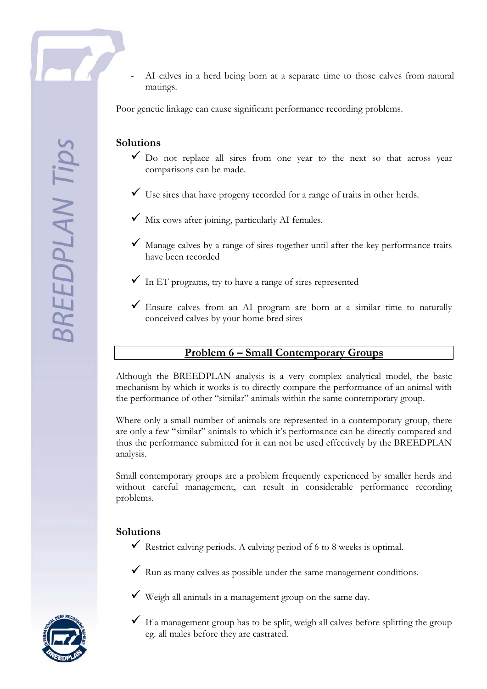AI calves in a herd being born at a separate time to those calves from natural matings.

Poor genetic linkage can cause significant performance recording problems.

## **Solutions**

- $\checkmark$  Do not replace all sires from one year to the next so that across year comparisons can be made.
- $\checkmark$  Use sires that have progeny recorded for a range of traits in other herds.
- $\checkmark$  Mix cows after joining, particularly AI females.
- $\checkmark$  Manage calves by a range of sires together until after the key performance traits have been recorded
- $\checkmark$  In ET programs, try to have a range of sires represented
- $\checkmark$  Ensure calves from an AI program are born at a similar time to naturally conceived calves by your home bred sires

#### **Problem 6 – Small Contemporary Groups**

Although the BREEDPLAN analysis is a very complex analytical model, the basic mechanism by which it works is to directly compare the performance of an animal with the performance of other "similar" animals within the same contemporary group.

Where only a small number of animals are represented in a contemporary group, there are only a few "similar" animals to which it's performance can be directly compared and thus the performance submitted for it can not be used effectively by the BREEDPLAN analysis.

Small contemporary groups are a problem frequently experienced by smaller herds and without careful management, can result in considerable performance recording problems.

#### **Solutions**

- $\checkmark$  Restrict calving periods. A calving period of 6 to 8 weeks is optimal.
- $\checkmark$  Run as many calves as possible under the same management conditions.
- $\checkmark$  Weigh all animals in a management group on the same day.



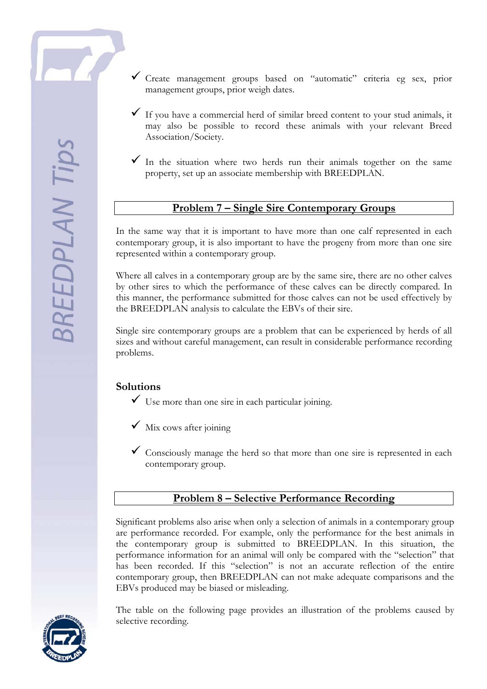- $\checkmark$  Create management groups based on "automatic" criteria eg sex, prior management groups, prior weigh dates.
- $\checkmark$  If you have a commercial herd of similar breed content to your stud animals, it may also be possible to record these animals with your relevant Breed Association/Society.
- $\checkmark$  In the situation where two herds run their animals together on the same property, set up an associate membership with BREEDPLAN.

#### **Problem 7 – Single Sire Contemporary Groups**

In the same way that it is important to have more than one calf represented in each contemporary group, it is also important to have the progeny from more than one sire represented within a contemporary group.

Where all calves in a contemporary group are by the same sire, there are no other calves by other sires to which the performance of these calves can be directly compared. In this manner, the performance submitted for those calves can not be used effectively by the BREEDPLAN analysis to calculate the EBVs of their sire.

Single sire contemporary groups are a problem that can be experienced by herds of all sizes and without careful management, can result in considerable performance recording problems.

## **Solutions**

- $\checkmark$  Use more than one sire in each particular joining.
- $\checkmark$  Mix cows after joining
- $\checkmark$  Consciously manage the herd so that more than one sire is represented in each contemporary group.

## **Problem 8 – Selective Performance Recording**

Significant problems also arise when only a selection of animals in a contemporary group are performance recorded. For example, only the performance for the best animals in the contemporary group is submitted to BREEDPLAN. In this situation, the performance information for an animal will only be compared with the "selection" that has been recorded. If this "selection" is not an accurate reflection of the entire contemporary group, then BREEDPLAN can not make adequate comparisons and the EBVs produced may be biased or misleading.

The table on the following page provides an illustration of the problems caused by selective recording.

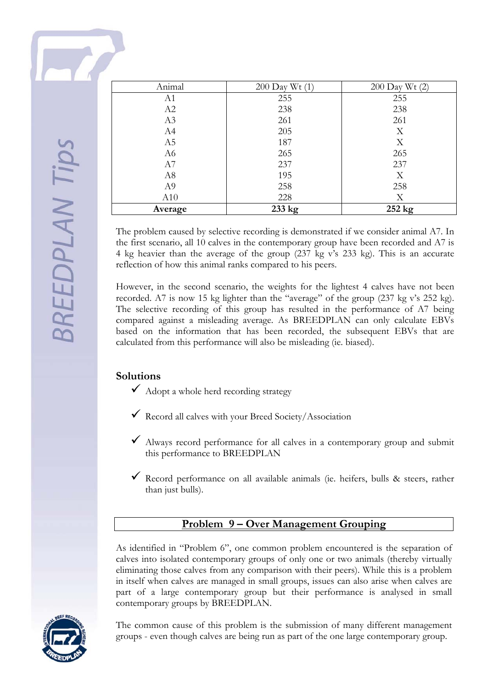| Animal         | $200$ Day Wt $(1)$ | 200 Day Wt (2) |
|----------------|--------------------|----------------|
| A1             | 255                | 255            |
| A2             | 238                | 238            |
| A3             | 261                | 261            |
| A4             | 205                | X              |
| A5             | 187                | X              |
| A6             | 265                | 265            |
| A7             | 237                | 237            |
| A8             | 195                | X              |
| A <sub>9</sub> | 258                | 258            |
| A10            | 228                | X              |
| Average        | 233 kg             | 252 kg         |

The problem caused by selective recording is demonstrated if we consider animal A7. In the first scenario, all 10 calves in the contemporary group have been recorded and A7 is 4 kg heavier than the average of the group (237 kg v's 233 kg). This is an accurate reflection of how this animal ranks compared to his peers.

However, in the second scenario, the weights for the lightest 4 calves have not been recorded. A7 is now 15 kg lighter than the "average" of the group (237 kg v's 252 kg). The selective recording of this group has resulted in the performance of A7 being compared against a misleading average. As BREEDPLAN can only calculate EBVs based on the information that has been recorded, the subsequent EBVs that are calculated from this performance will also be misleading (ie. biased).

## **Solutions**

- $\overline{\mathsf{4}}$  Adopt a whole herd recording strategy
- $\checkmark$  Record all calves with your Breed Society/Association
- $\blacktriangledown$  Always record performance for all calves in a contemporary group and submit this performance to BREEDPLAN
- Record performance on all available animals (ie. heifers, bulls & steers, rather than just bulls).

## **Problem 9 – Over Management Grouping**

As identified in "Problem 6", one common problem encountered is the separation of calves into isolated contemporary groups of only one or two animals (thereby virtually eliminating those calves from any comparison with their peers). While this is a problem in itself when calves are managed in small groups, issues can also arise when calves are part of a large contemporary group but their performance is analysed in small contemporary groups by BREEDPLAN.



The common cause of this problem is the submission of many different management groups - even though calves are being run as part of the one large contemporary group.